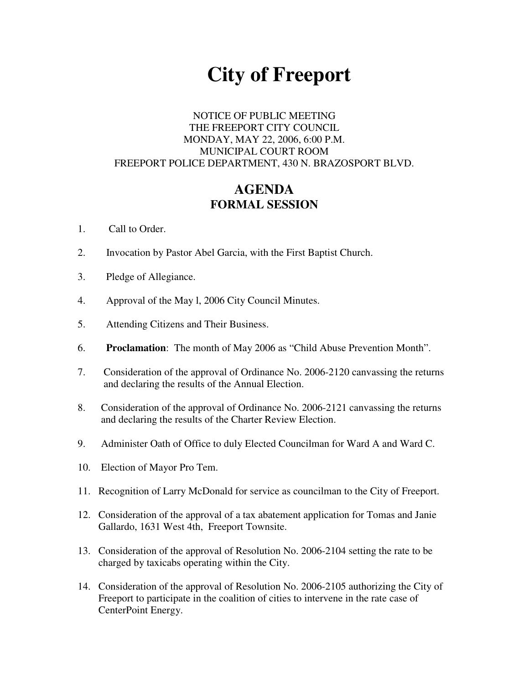# **City of Freeport**

### NOTICE OF PUBLIC MEETING THE FREEPORT CITY COUNCIL MONDAY, MAY 22, 2006, 6:00 P.M. MUNICIPAL COURT ROOM FREEPORT POLICE DEPARTMENT, 430 N. BRAZOSPORT BLVD.

## **AGENDA FORMAL SESSION**

- 1. Call to Order.
- 2. Invocation by Pastor Abel Garcia, with the First Baptist Church.
- 3. Pledge of Allegiance.
- 4. Approval of the May l, 2006 City Council Minutes.
- 5. Attending Citizens and Their Business.
- 6. **Proclamation**: The month of May 2006 as "Child Abuse Prevention Month".
- 7. Consideration of the approval of Ordinance No. 2006-2120 canvassing the returns and declaring the results of the Annual Election.
- 8. Consideration of the approval of Ordinance No. 2006-2121 canvassing the returns and declaring the results of the Charter Review Election.
- 9. Administer Oath of Office to duly Elected Councilman for Ward A and Ward C.
- 10. Election of Mayor Pro Tem.
- 11. Recognition of Larry McDonald for service as councilman to the City of Freeport.
- 12. Consideration of the approval of a tax abatement application for Tomas and Janie Gallardo, 1631 West 4th, Freeport Townsite.
- 13. Consideration of the approval of Resolution No. 2006-2104 setting the rate to be charged by taxicabs operating within the City.
- 14. Consideration of the approval of Resolution No. 2006-2105 authorizing the City of Freeport to participate in the coalition of cities to intervene in the rate case of CenterPoint Energy.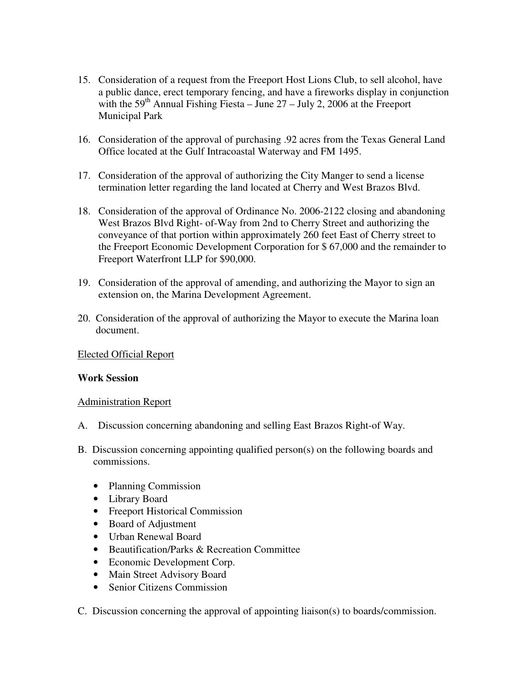- 15. Consideration of a request from the Freeport Host Lions Club, to sell alcohol, have a public dance, erect temporary fencing, and have a fireworks display in conjunction with the  $59<sup>th</sup>$  Annual Fishing Fiesta – June  $27$  – July 2, 2006 at the Freeport Municipal Park
- 16. Consideration of the approval of purchasing .92 acres from the Texas General Land Office located at the Gulf Intracoastal Waterway and FM 1495.
- 17. Consideration of the approval of authorizing the City Manger to send a license termination letter regarding the land located at Cherry and West Brazos Blvd.
- 18. Consideration of the approval of Ordinance No. 2006-2122 closing and abandoning West Brazos Blvd Right- of-Way from 2nd to Cherry Street and authorizing the conveyance of that portion within approximately 260 feet East of Cherry street to the Freeport Economic Development Corporation for \$ 67,000 and the remainder to Freeport Waterfront LLP for \$90,000.
- 19. Consideration of the approval of amending, and authorizing the Mayor to sign an extension on, the Marina Development Agreement.
- 20. Consideration of the approval of authorizing the Mayor to execute the Marina loan document.

#### Elected Official Report

#### **Work Session**

#### Administration Report

- A. Discussion concerning abandoning and selling East Brazos Right-of Way.
- B. Discussion concerning appointing qualified person(s) on the following boards and commissions.
	- Planning Commission
	- Library Board
	- Freeport Historical Commission
	- Board of Adjustment
	- Urban Renewal Board
	- Beautification/Parks & Recreation Committee
	- Economic Development Corp.
	- Main Street Advisory Board
	- Senior Citizens Commission
- C. Discussion concerning the approval of appointing liaison(s) to boards/commission.